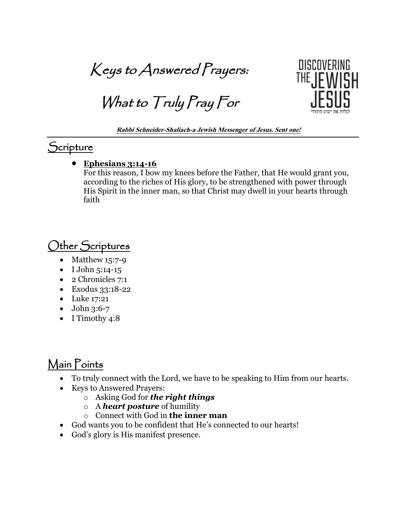Keys to Answered Prayers:

What to Truly Pray For



**Rabbi Schneider-Shaliach-a Jewish Messenger of Jesus. Sent one!**

## **Scripture**

• **Ephesians 3:14-16**

For this reason, I bow my knees before the Father, that He would grant you, according to the riches of His glory, to be strengthened with power through His Spirit in the inner man, so that Christ may dwell in your hearts through faith

## Other Scriptures

- Matthew 15:7-9
- I John 5:14-15
- 2 Chronicles 7:1
- Exodus 33:18-22
- Luke 17:21
- John 3:6-7
- I Timothy 4:8

## Main Points

- To truly connect with the Lord, we have to be speaking to Him from our hearts.
- Keys to Answered Prayers:
	- o Asking God for *the right things*
	- o A *heart posture* of humility
	- o Connect with God in **the inner man**
- God wants you to be confident that He's connected to our hearts!
- God's glory is His manifest presence.